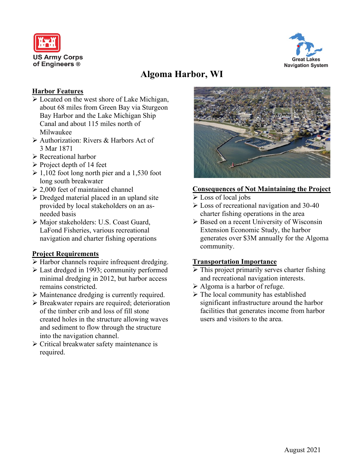



# **Algoma Harbor, WI**

#### **Harbor Features**

- $\triangleright$  Located on the west shore of Lake Michigan, about 68 miles from Green Bay via Sturgeon Bay Harbor and the Lake Michigan Ship Canal and about 115 miles north of Milwaukee
- Authorization: Rivers & Harbors Act of 3 Mar 1871
- Recreational harbor
- $\triangleright$  Project depth of 14 feet
- $\geq 1,102$  foot long north pier and a 1,530 foot long south breakwater
- $\geq 2.000$  feet of maintained channel
- $\triangleright$  Dredged material placed in an upland site provided by local stakeholders on an asneeded basis
- Major stakeholders: U.S. Coast Guard, LaFond Fisheries, various recreational navigation and charter fishing operations

## **Project Requirements**

- Harbor channels require infrequent dredging.
- Last dredged in 1993; community performed minimal dredging in 2012, but harbor access remains constricted.
- Maintenance dredging is currently required.
- $\triangleright$  Breakwater repairs are required; deterioration of the timber crib and loss of fill stone created holes in the structure allowing waves and sediment to flow through the structure into the navigation channel.
- Critical breakwater safety maintenance is required.



### **Consequences of Not Maintaining the Project**

- Loss of local jobs
- Loss of recreational navigation and 30-40 charter fishing operations in the area
- $\triangleright$  Based on a recent University of Wisconsin Extension Economic Study, the harbor generates over \$3M annually for the Algoma community.

## **Transportation Importance**

- $\triangleright$  This project primarily serves charter fishing and recreational navigation interests.
- $\triangleright$  Algoma is a harbor of refuge.
- $\triangleright$  The local community has established significant infrastructure around the harbor facilities that generates income from harbor users and visitors to the area.